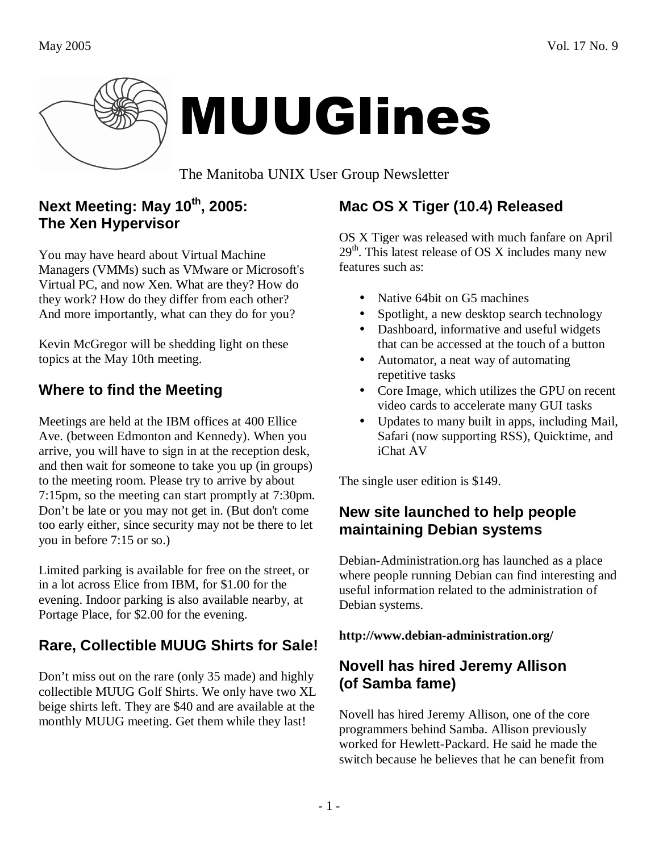

# MUUGlines

The Manitoba UNIX User Group Newsletter

## **Next Meeting: May 10th, 2005: The Xen Hypervisor**

You may have heard about Virtual Machine Managers (VMMs) such as VMware or Microsoft's Virtual PC, and now Xen. What are they? How do they work? How do they differ from each other? And more importantly, what can they do for you?

Kevin McGregor will be shedding light on these topics at the May 10th meeting.

# **Where to find the Meeting**

Meetings are held at the IBM offices at 400 Ellice Ave. (between Edmonton and Kennedy). When you arrive, you will have to sign in at the reception desk, and then wait for someone to take you up (in groups) to the meeting room. Please try to arrive by about 7:15pm, so the meeting can start promptly at 7:30pm. Don't be late or you may not get in. (But don't come too early either, since security may not be there to let you in before 7:15 or so.)

Limited parking is available for free on the street, or in a lot across Elice from IBM, for \$1.00 for the evening. Indoor parking is also available nearby, at Portage Place, for \$2.00 for the evening.

# **Rare, Collectible MUUG Shirts for Sale!**

Don't miss out on the rare (only 35 made) and highly collectible MUUG Golf Shirts. We only have two XL beige shirts left. They are \$40 and are available at the monthly MUUG meeting. Get them while they last!

# **Mac OS X Tiger (10.4) Released**

OS X Tiger was released with much fanfare on April  $29<sup>th</sup>$ . This latest release of OS X includes many new features such as:

- Native 64bit on G5 machines
- Spotlight, a new desktop search technology
- Dashboard, informative and useful widgets that can be accessed at the touch of a button
- Automator, a neat way of automating repetitive tasks
- Core Image, which utilizes the GPU on recent video cards to accelerate many GUI tasks
- Updates to many built in apps, including Mail, Safari (now supporting RSS), Quicktime, and iChat AV

The single user edition is \$149.

## **New site launched to help people maintaining Debian systems**

Debian-Administration.org has launched as a place where people running Debian can find interesting and useful information related to the administration of Debian systems.

**http://www.debian-administration.org/** 

## **Novell has hired Jeremy Allison (of Samba fame)**

Novell has hired Jeremy Allison, one of the core programmers behind Samba. Allison previously worked for Hewlett-Packard. He said he made the switch because he believes that he can benefit from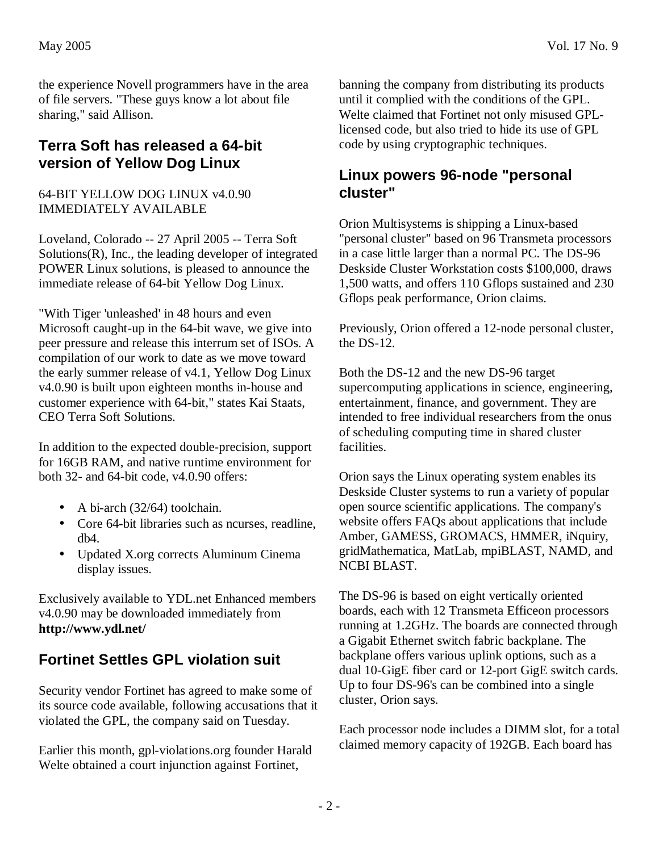the experience Novell programmers have in the area of file servers. "These guys know a lot about file sharing," said Allison.

#### **Terra Soft has released a 64-bit version of Yellow Dog Linux**

64-BIT YELLOW DOG LINUX v4.0.90 IMMEDIATELY AVAILABLE

Loveland, Colorado -- 27 April 2005 -- Terra Soft Solutions(R), Inc., the leading developer of integrated POWER Linux solutions, is pleased to announce the immediate release of 64-bit Yellow Dog Linux.

"With Tiger 'unleashed' in 48 hours and even Microsoft caught-up in the 64-bit wave, we give into peer pressure and release this interrum set of ISOs. A compilation of our work to date as we move toward the early summer release of v4.1, Yellow Dog Linux v4.0.90 is built upon eighteen months in-house and customer experience with 64-bit," states Kai Staats, CEO Terra Soft Solutions.

In addition to the expected double-precision, support for 16GB RAM, and native runtime environment for both 32- and 64-bit code, v4.0.90 offers:

- A bi-arch  $(32/64)$  toolchain.
- Core 64-bit libraries such as neurses, readline, db4.
- Updated X.org corrects Aluminum Cinema display issues.

Exclusively available to YDL.net Enhanced members v4.0.90 may be downloaded immediately from **http://www.ydl.net/**

## **Fortinet Settles GPL violation suit**

Security vendor Fortinet has agreed to make some of its source code available, following accusations that it violated the GPL, the company said on Tuesday.

Earlier this month, gpl-violations.org founder Harald Welte obtained a court injunction against Fortinet,

banning the company from distributing its products until it complied with the conditions of the GPL. Welte claimed that Fortinet not only misused GPLlicensed code, but also tried to hide its use of GPL code by using cryptographic techniques.

#### **Linux powers 96-node "personal cluster"**

Orion Multisystems is shipping a Linux-based "personal cluster" based on 96 Transmeta processors in a case little larger than a normal PC. The DS-96 Deskside Cluster Workstation costs \$100,000, draws 1,500 watts, and offers 110 Gflops sustained and 230 Gflops peak performance, Orion claims.

Previously, Orion offered a 12-node personal cluster, the DS-12.

Both the DS-12 and the new DS-96 target supercomputing applications in science, engineering, entertainment, finance, and government. They are intended to free individual researchers from the onus of scheduling computing time in shared cluster facilities.

Orion says the Linux operating system enables its Deskside Cluster systems to run a variety of popular open source scientific applications. The company's website offers FAQs about applications that include Amber, GAMESS, GROMACS, HMMER, iNquiry, gridMathematica, MatLab, mpiBLAST, NAMD, and NCBI BLAST.

The DS-96 is based on eight vertically oriented boards, each with 12 Transmeta Efficeon processors running at 1.2GHz. The boards are connected through a Gigabit Ethernet switch fabric backplane. The backplane offers various uplink options, such as a dual 10-GigE fiber card or 12-port GigE switch cards. Up to four DS-96's can be combined into a single cluster, Orion says.

Each processor node includes a DIMM slot, for a total claimed memory capacity of 192GB. Each board has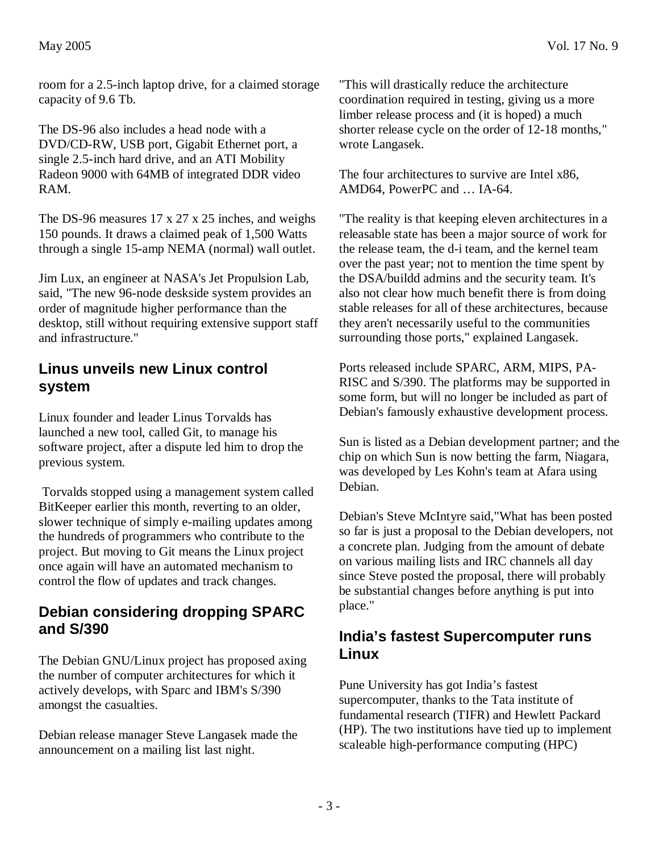room for a 2.5-inch laptop drive, for a claimed storage capacity of 9.6 Tb.

The DS-96 also includes a head node with a DVD/CD-RW, USB port, Gigabit Ethernet port, a single 2.5-inch hard drive, and an ATI Mobility Radeon 9000 with 64MB of integrated DDR video RAM.

The DS-96 measures 17 x 27 x 25 inches, and weighs 150 pounds. It draws a claimed peak of 1,500 Watts through a single 15-amp NEMA (normal) wall outlet.

Jim Lux, an engineer at NASA's Jet Propulsion Lab, said, "The new 96-node deskside system provides an order of magnitude higher performance than the desktop, still without requiring extensive support staff and infrastructure."

#### **Linus unveils new Linux control system**

Linux founder and leader Linus Torvalds has launched a new tool, called Git, to manage his software project, after a dispute led him to drop the previous system.

 Torvalds stopped using a management system called BitKeeper earlier this month, reverting to an older, slower technique of simply e-mailing updates among the hundreds of programmers who contribute to the project. But moving to Git means the Linux project once again will have an automated mechanism to control the flow of updates and track changes.

#### **Debian considering dropping SPARC and S/390**

The Debian GNU/Linux project has proposed axing the number of computer architectures for which it actively develops, with Sparc and IBM's S/390 amongst the casualties.

Debian release manager Steve Langasek made the announcement on a mailing list last night.

"This will drastically reduce the architecture coordination required in testing, giving us a more limber release process and (it is hoped) a much shorter release cycle on the order of 12-18 months," wrote Langasek.

The four architectures to survive are Intel x86, AMD64, PowerPC and … IA-64.

"The reality is that keeping eleven architectures in a releasable state has been a major source of work for the release team, the d-i team, and the kernel team over the past year; not to mention the time spent by the DSA/buildd admins and the security team. It's also not clear how much benefit there is from doing stable releases for all of these architectures, because they aren't necessarily useful to the communities surrounding those ports," explained Langasek.

Ports released include SPARC, ARM, MIPS, PA-RISC and S/390. The platforms may be supported in some form, but will no longer be included as part of Debian's famously exhaustive development process.

Sun is listed as a Debian development partner; and the chip on which Sun is now betting the farm, Niagara, was developed by Les Kohn's team at Afara using Debian.

Debian's Steve McIntyre said,"What has been posted so far is just a proposal to the Debian developers, not a concrete plan. Judging from the amount of debate on various mailing lists and IRC channels all day since Steve posted the proposal, there will probably be substantial changes before anything is put into place."

#### **India's fastest Supercomputer runs Linux**

Pune University has got India's fastest supercomputer, thanks to the Tata institute of fundamental research (TIFR) and Hewlett Packard (HP). The two institutions have tied up to implement scaleable high-performance computing (HPC)